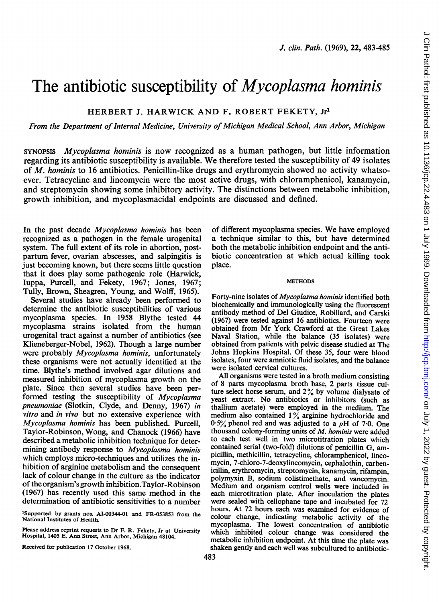# The antibiotic susceptibility of *Mycoplasma hominis*

HERBERT J. HARWICK AND F. ROBERT FEKETY, Jr1

From the Department of Internal Medicine, University of Michigan Medical School, Ann Arbor, Michigan

SYNOPSIS Mycoplasma hominis is now recognized as a human pathogen, but little information regarding its antibiotic susceptibility is available. We therefore tested the susceptibility of 49 isolates of M. hominis to 16 antibiotics. Penicillin-like drugs and erythromycin showed no activity whatsoever. Tetracycline and lincomvcin were the most active drugs, with chloramphenicol, kanamycin, and streptomycin showing some inhibitory activity. The distinctions between metabolic inhibition, growth inhibition, and mycoplasmacidal endpoints are discussed and defined.

In the past decade Mycoplasma hominis has been recognized as a pathogen in the female urogenital system. The full extent of its role in abortion, postpartum fever, ovarian abscesses, and salpingitis is just becoming known, but there seems little question that it does play some pathogenic role (Harwick, luppa, Purcell, and Fekety, 1967; Jones, 1967; Tully, Brown, Sheagren, Young, and Wolff, 1965).

Several studies have already been performed to determine the antibiotic susceptibilities of various mycoplasma species. In 1958 Blythe tested 44 mycoplasma strains isolated from the human urogenital tract against a number of antibiotics (see Klieneberger-Nobel, 1962). Though a large number were probably *Mycoplasma hominis*, unfortunately these organisms were not actually identified at the time. Blythe's method involved agar dilutions and measured inhibition of mycoplasma growth on the plate. Since then several studies have been performed testing the susceptibility of Mycoplasma pneumoniae (Slotkin, Clyde, and Denny, 1967) in vitro and in vivo but no extensive experience with Mycoplasma hominis has been published. Purcell, Taylor-Robinson, Wong, and Chanock (1966) have described a metabolic inhibition technique for determining antibody response to Mycoplasma hominis which employs micro-techniques and utilizes the inhibition of arginine metabolism and the consequent lack of colour change in the culture as the indicator of the organism's growth inhibition.Taylor-Robinson (1967) has recently used this same method in the determination of antibiotic sensitivities to a number

Please address reprint requests to Dr F. R. Fekety, Jr at University Hospital, 1405 E. Ann Street, Ann Arbor, Michigan 48104.

Received for publication 17 October 1968.

of different mycoplasma species. We have employed a technique similar to this, but have determined both the metabolic inhibition endpoint and the antibiotic concentration at which actual killing took place.

#### **METHODS**

Forty-nine isolates of Mycoplasma hominis identified both biochemically and immunologically using the fluorescent antibody method of Del Giudice, Robillard, and Carski (1967) were tested against 16 antibiotics. Fourteen were obtained from Mr York Crawford at the Great Lakes Naval Station, while the balance (35 isolates) were obtained from patients with pelvic disease studied at The Johns Hopkins Hospital. Of these 35, four were blood isolates, four were amniotic fluid isolates, and the balance were isolated cervical cultures.

All organisms were tested in a broth medium consisting of 8 parts mycoplasma broth base, 2 parts tissue culture select horse serum, and  $2\%$  by volume dialysate of yeast extract. No antibiotics or inhibitors (such as thallium acetate) were employed in the medium. The medium also contained 1% arginine hydrochloride and  $0.5\%$  phenol red and was adjusted to a pH of 7.0. One thousand colony-forming units of M. hominis were added to each test well in two microtitration plates which contained serial (two-fold) dilutions of penicillin G, ampicillin, methicillin, tetracycline, chloramphenicol, lincomycin, 7-chloro-7-deoxylincomycin, cephalothin, carbenicillin, erythromycin, streptomycin, kanamycin, rifampin, polymyxin B, sodium colistimethate, and vancomycin. Medium and organism control wells were included in each microtitration plate. After inoculation the plates were sealed with cellophane tape and incubated for 72 hours. At 72 hours each was examined for evidence of colour change, indicating metabolic activity of the mycoplasma. The lowest concentration of antibiotic which inhibited colour change was considered the metabolic inhibition endpoint. At this time the plate was shaken gently and each well was subcultured to antibiotic-

<sup>&#</sup>x27;Supported by grants nos. AI.00344-01 and FR.053853 from the National Institutes of Health.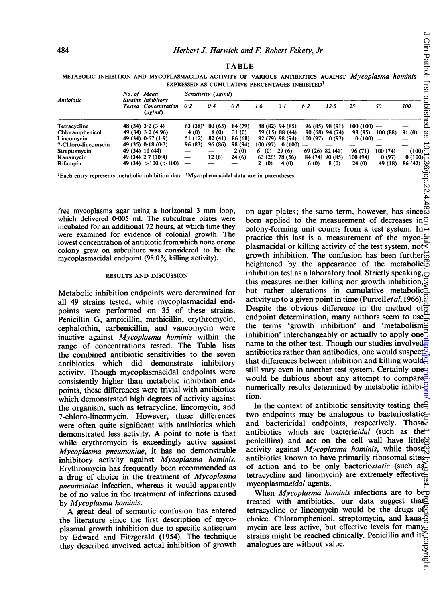| <b>TABLE</b> |  |  |                                                                                                            |  |  |  |  |  |  |  |  |
|--------------|--|--|------------------------------------------------------------------------------------------------------------|--|--|--|--|--|--|--|--|
|              |  |  | METABOLIC INHIBITION AND MYCOPLASMACIDAL ACTIVITY OF VARIOUS ANTIBIOTICS AGAINST <i>Mycoplasma hominis</i> |  |  |  |  |  |  |  |  |
|              |  |  | EXPRESSED AS CUMULATIVE PERCENTAGES INHIBITED <sup>1</sup>                                                 |  |  |  |  |  |  |  |  |

| 484                                                                                                 | Herbert J. Harwick and F. Robert Fekety, Jr |                                                                          |                          |         |              |          |                    |                 |                 |              |          |         |
|-----------------------------------------------------------------------------------------------------|---------------------------------------------|--------------------------------------------------------------------------|--------------------------|---------|--------------|----------|--------------------|-----------------|-----------------|--------------|----------|---------|
|                                                                                                     |                                             |                                                                          |                          |         | <b>TABLE</b> |          |                    |                 |                 |              |          |         |
| METABOLIC INHIBITION AND MYCOPLASMACIDAL ACTIVITY OF VARIOUS ANTIBIOTICS AGAINST Mycoplasma hominis |                                             |                                                                          |                          |         |              |          |                    |                 |                 |              |          |         |
| EXPRESSED AS CUMULATIVE PERCENTAGES INHIBITED <sup>1</sup><br>No. of Mean                           |                                             |                                                                          |                          |         |              |          |                    |                 |                 |              |          |         |
| Antibiotic                                                                                          |                                             | <b>Strains Inhibitory</b><br><b>Tested</b> Concentration<br>$(\mu g/ml)$ | Sensitivity $(\mu g/ml)$ |         |              |          |                    |                 |                 |              |          |         |
|                                                                                                     |                                             |                                                                          | 0.2                      | 0.4     | 0.8          | 1.6      | 3·1                | 6.2             | 12.5            | 25           | 50       | 100     |
| Tetracycline                                                                                        |                                             | 48 (34) $3 \cdot 2$ (3 $\cdot$ 4)                                        | $63(38)^2$               | 80 (65) | 84 (79)      |          | 88 (82) 94 (85)    |                 | 96 (85) 98 (91) | $100(100)$ — |          |         |
| Chloramphenicol                                                                                     |                                             | 49 $(34)$ 3.2 $(4.96)$                                                   | 4(0)                     | 8 (0)   | 31 (0)       |          | 59 (15) 88 (44)    |                 | 90 (68) 94 (74) | 98 (85)      | 100(88)  | 91 (0)  |
| Lincomycin                                                                                          |                                             | 49 (34) $0.67(1.9)$                                                      | 51 (12)                  | 82(41)  | 86 (68)      |          | 92 (79) 98 (94)    | 100(97) 0(97)   |                 | $0(100)$ —   |          |         |
| 7-Chloro-lincomycin                                                                                 |                                             | $49(35)$ 0.18 (0.3)                                                      | 96 (83)                  | 96 (86) | 98 (94)      |          | $100(97) 0(100)$ — |                 |                 |              |          |         |
| Streptomycin                                                                                        |                                             | 49 (34) 11 (44)                                                          | —                        |         | 2(0)         | 6 (0)    | 29(6)              | 69(26)82(41)    |                 | 96 (71)      | 100 (74) | (100)   |
| Kanamycin                                                                                           |                                             | 49 (34) $2 \cdot 7$ (10 $\cdot$ 4)                                       | $\overline{\phantom{0}}$ | 12(6)   | 24 (6)       |          | 63 (26) 78 (56)    | 84 (74) 90 (85) |                 | 100 (94)     | 0(97)    | 0(100)  |
| Rifampin                                                                                            |                                             | 49 (34) $>100$ ( $>100$ )                                                |                          |         |              | (0)<br>2 | 4 (0)              | 6(0)            | 8(0)            | 24(0)        | 49 (18)  | 86 (42) |

'Each entry represents metabolic inhibition data. 2Mycoplasmacidal data are in parentheses.

free mycoplasma agar using <sup>a</sup> horizontal <sup>3</sup> mm loop, which delivered 0.005 ml. The subculture plates were incubated for an additional 72 hours, at which time they were examined for evidence of colonial growth. The lowest concentration of antibiotic from which none or one colony grew on subculture was considered to be the mycoplasmacidal endpoint (98-0% killing activity).

#### RESULTS AND DISCUSSION

Metabolic inhibition endpoints were determined for all 49 strains tested, while mycoplasmacidal endpoints were performed on 35 of these strains. Penicillin G, ampicillin, methicillin, erythromycin, cephalothin, carbenicillin, and vancomycin were inactive against Mycoplasma hominis within the range of concentrations tested. The Table lists the combined antibiotic sensitivities to the seven antibiotics which did demonstrate inhibitory activity. Though mycoplasmacidal endpoints were consistently higher than metabolic inhibition endpoints, these differences were trivial with antibiotics which demonstrated high degrees of activity against the organism, such as tetracycline, lincomycin, and 7-chloro-lincomycin. However, these differences were often quite significant with antibiotics which demonstrated less activity. A point to note is that while erythromycin is exceedingly active against Mycoplasma pneumoniae, it has no demonstrable inhibitory activity against Mycoplasma hominis. Erythromycin has frequently been recommended as a drug of choice in the treatment of Mycoplasma pneumoniae infection, whereas it would apparently be of no value in the treatment of infections caused by Mycoplasma hominis.

A great deal of semantic confusion has entered the literature since the first description of mycoplasmal growth inhibition due to specific antiserum by Edward and Fitzgerald (1954). The technique they described involved actual inhibition of growth

on agar plates; the same term, however, has since been applied to the measurement of decreases in colony-forming unit counts from a test system. In  $\rightarrow$ practice this last is a measurement of the myco- $\epsilon$ plasmacidal or killing activity of the test system, not $\leq$ growth inhibition. The confusion has been further $\vec{\omega}$ heightened by the appearance of the metabolic<sup> $\Omega$ </sup> inhibition test as a laboratory tool. Strictly speaking,  $\Box$ this measures neither killing nor growth inhibition, but rather alterations in cumulative metabolic activity up to a given point in time (Purcell *et al*, 1966). Despite the obvious difference in the method of  $\frac{1}{0}$ endpoint determination, many authors seem to use the terms 'growth inhibition' and 'metabolism inhibition' interchangeably or actually to apply one name to the other test. Though our studies involved $\overline{a}$ antibiotics rather than antibodies, one would suspect that differences between inhibition and killing would still vary even in another test system. Certainly one would be dubious about any attempt to compare. numerically results determined by metabolic inhibi- $\frac{8}{3}$ tion.

In the context of antibiotic sensitivity testing the  $\leq$ two endpoints may be analogous to bacteriostatic and bactericidal endpoints, respectively. Those $\equiv$ antibiotics which are bactericidal (such as the  $\rightarrow$ penicillins) and act on the cell wall have little $\bowtie$ activity against Mycoplasma hominis, while those  $\aleph$ antibiotics known to have primarily ribosomal sites<sub>o</sub> of action and to be only bacteriostatic (such  $a_0$ ) tetracycline and linomycin) are extremely effective $\overline{\overline{S}}$ mycoplasmacidal agents.

When Mycoplasma hominis infections are to be $\sigma$ treated with antibiotics, our data suggest that $\vec{c}$ tetracycline or lincomycin would be the drugs  $of^{\oplus}_{\Omega}$ choice. Chloramphenicol, streptomycin, and kanamycin are less active, but effective levels for many strains might be reached clinically. Penicillin and its analogues are without value.